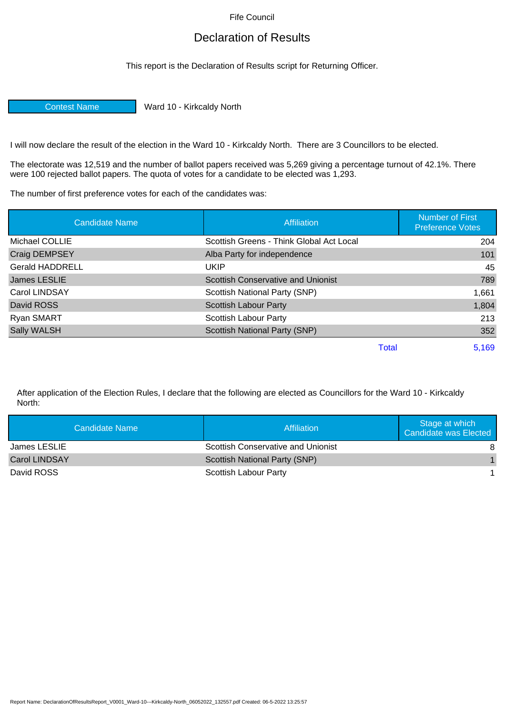Fife Council

## Declaration of Results

This report is the Declaration of Results script for Returning Officer.

Contest Name Ward 10 - Kirkcaldy North

I will now declare the result of the election in the Ward 10 - Kirkcaldy North. There are 3 Councillors to be elected.

The electorate was 12,519 and the number of ballot papers received was 5,269 giving a percentage turnout of 42.1%. There were 100 rejected ballot papers. The quota of votes for a candidate to be elected was 1,293.

The number of first preference votes for each of the candidates was:

| <b>Candidate Name</b>  | <b>Affiliation</b>                        | <b>Number of First</b><br><b>Preference Votes</b> |
|------------------------|-------------------------------------------|---------------------------------------------------|
| Michael COLLIE         | Scottish Greens - Think Global Act Local  | 204                                               |
| <b>Craig DEMPSEY</b>   | Alba Party for independence               | 101                                               |
| <b>Gerald HADDRELL</b> | UKIP                                      | 45                                                |
| James LESLIE           | <b>Scottish Conservative and Unionist</b> | 789                                               |
| Carol LINDSAY          | Scottish National Party (SNP)             | 1,661                                             |
| David ROSS             | <b>Scottish Labour Party</b>              | 1,804                                             |
| Ryan SMART             | Scottish Labour Party                     | 213                                               |
| <b>Sally WALSH</b>     | Scottish National Party (SNP)             | 352                                               |
|                        | <b>Total</b>                              | 5,169                                             |

After application of the Election Rules, I declare that the following are elected as Councillors for the Ward 10 - Kirkcaldy North:

| Candidate Name       | Affiliation                               | Stage at which<br>Candidate was Elected |
|----------------------|-------------------------------------------|-----------------------------------------|
| James LESLIE         | <b>Scottish Conservative and Unionist</b> | 8                                       |
| <b>Carol LINDSAY</b> | Scottish National Party (SNP)             |                                         |
| David ROSS           | Scottish Labour Party                     |                                         |